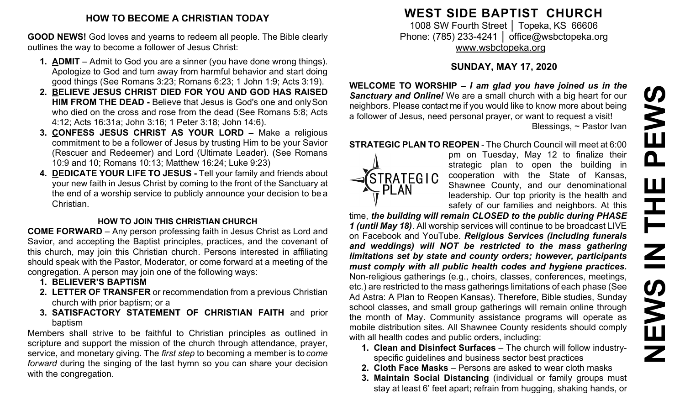# **HOW TO BECOME A CHRISTIAN TODAY**

**GOOD NEWS!** God loves and yearns to redeem all people. The Bible clearly outlines the way to become a follower of Jesus Christ:

- **1. ADMIT**  Admit to God you are a sinner (you have done wrong things). Apologize to God and turn away from harmful behavior and start doing good things (See Romans 3:23; Romans 6:23; 1 John 1:9; Acts 3:19).
- **2. BELIEVE JESUS CHRIST DIED FOR YOU AND GOD HAS RAISED HIM FROM THE DEAD -** Believe that Jesus is God's one and onlySon who died on the cross and rose from the dead (See Romans 5:8; Acts 4:12; Acts 16:31a; John 3:16; 1 Peter 3:18; John 14:6).
- **3. CONFESS JESUS CHRIST AS YOUR LORD –** Make a religious commitment to be a follower of Jesus by trusting Him to be your Savior (Rescuer and Redeemer) and Lord (Ultimate Leader). (See Romans 10:9 and 10; Romans 10:13; Matthew 16:24; Luke 9:23)
- **4. DEDICATE YOUR LIFE TO JESUS -** Tell your family and friends about your new faith in Jesus Christ by coming to the front of the Sanctuary at the end of a worship service to publicly announce your decision to be a Christian.

# **HOW TO JOIN THIS CHRISTIAN CHURCH**

**COME FORWARD** – Any person professing faith in Jesus Christ as Lord and Savior, and accepting the Baptist principles, practices, and the covenant of this church, may join this Christian church. Persons interested in affiliating should speak with the Pastor, Moderator, or come forward at a meeting of the congregation. A person may join one of the following ways:

- **1. BELIEVER'S BAPTISM**
- **2. LETTER OF TRANSFER** or recommendation from a previous Christian church with prior baptism; or a
- **3. SATISFACTORY STATEMENT OF CHRISTIAN FAITH** and prior baptism

Members shall strive to be faithful to Christian principles as outlined in scripture and support the mission of the church through attendance, prayer, service, and monetary giving. The *first step* to becoming a member is to *come forward* during the singing of the last hymn so you can share your decision with the congregation.

# **WEST SIDE BAPTIST CHURCH**

1008 SW Fourth Street | Topeka, KS 66606 Phone: (785) 233-4241 │ [office@wsbctopeka.org](mailto:office@wsbctopeka.org) [www.wsbctopeka.org](http://www.wsbctopeka.org/)

# **SUNDAY, MAY 17, 2020**

**WELCOME TO WORSHIP –** *I am glad you have joined us in the Sanctuary and Online!* We are a small church with a big heart for our neighbors. Please contact me if you would like to know more about being a follower of Jesus, need personal prayer, or want to request a visit! Blessings, ~ Pastor Ivan

#### **STRATEGIC PLAN TO REOPEN** - The Church Council will meet at 6:00



pm on Tuesday, May 12 to finalize their strategic plan to open the building in cooperation with the State of Kansas, Shawnee County, and our denominational leadership. Our top priority is the health and safety of our families and neighbors. At this

time, *the building will remain CLOSED to the public during PHASE 1 (until May 18)*. All worship services will continue to be broadcast LIVE on Facebook and YouTube. *Religious Services (including funerals and weddings) will NOT be restricted to the mass gathering limitations set by state and county orders; however, participants must comply with all public health codes and hygiene practices.* Non-religious gatherings (e.g., choirs, classes, conferences, meetings, etc.) are restricted to the mass gatherings limitations of each phase (See Ad Astra: A Plan to Reopen Kansas). Therefore, Bible studies, Sunday school classes, and small group gatherings will remain online through the month of May. Community assistance programs will operate as mobile distribution sites. All Shawnee County residents should comply with all health codes and public orders, including:

- **1. Clean and Disinfect Surfaces** The church will follow industryspecific guidelines and business sector best practices
- **2. Cloth Face Masks** Persons are asked to wear cloth masks
- **3. Maintain Social Distancing** (individual or family groups must stay at least 6' feet apart; refrain from hugging, shaking hands, or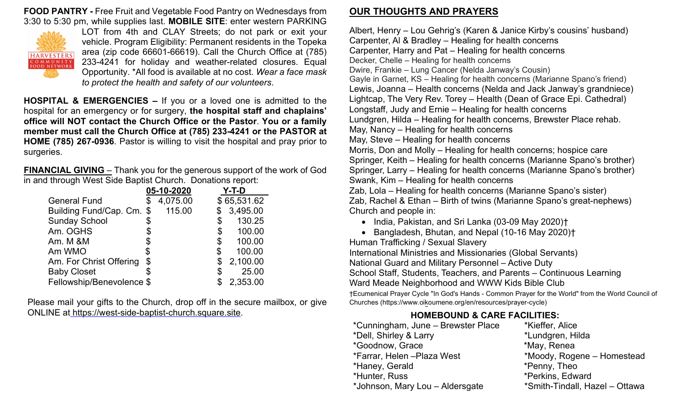**FOOD PANTRY -** Free Fruit and Vegetable Food Pantry on Wednesdays from 3:30 to 5:30 pm, while supplies last. **MOBILE SITE**: enter western PARKING



LOT from 4th and CLAY Streets; do not park or exit your vehicle. Program Eligibility: Permanent residents in the Topeka area (zip code 66601-66619). Call the Church Office at (785) 233-4241 for holiday and weather-related closures. Equal Opportunity. \*All food is available at no cost. *Wear a face mask to protect the health and safety of our volunteers*.

**HOSPITAL & EMERGENCIES –** If you or a loved one is admitted to the hospital for an emergency or for surgery, **the hospital staff and chaplains' office will NOT contact the Church Office or the Pastor**. **You or a family member must call the Church Office at (785) 233-4241 or the PASTOR at HOME (785) 267-0936**. Pastor is willing to visit the hospital and pray prior to surgeries.

**FINANCIAL GIVING** – Thank you for the generous support of the work of God in and through West Side Baptist Church. Donations report:

|                           | 05-10-2020     |                           | Y-T-D       |
|---------------------------|----------------|---------------------------|-------------|
| <b>General Fund</b>       | \$<br>4,075.00 |                           | \$65,531.62 |
| Building Fund/Cap. Cm. \$ | 115.00         | \$                        | 3,495.00    |
| <b>Sunday School</b>      | \$             | \$                        | 130.25      |
| Am. OGHS                  | \$             | $\boldsymbol{\mathsf{S}}$ | 100.00      |
| Am. M &M                  | \$             | \$                        | 100.00      |
| Am WMO                    | \$             | \$                        | 100.00      |
| Am. For Christ Offering   | \$             | \$                        | 2,100.00    |
| <b>Baby Closet</b>        |                | \$                        | 25.00       |
| Fellowship/Benevolence \$ |                |                           | 2,353.00    |

Please mail your gifts to the Church, drop off in the secure mailbox, or give ONLINE at [https://west-side-baptist-church.square.site.](https://west-side-baptist-church.square.site/)

## **OUR THOUGHTS AND PRAYERS**

Albert, Henry – Lou Gehrig's (Karen & Janice Kirby's cousins' husband) Carpenter, Al & Bradley – Healing for health concerns Carpenter, Harry and Pat – Healing for health concerns Decker, Chelle – Healing for health concerns Dwire, Frankie – Lung Cancer (Nelda Janway's Cousin) Gayle in Garnet, KS – Healing for health concerns (Marianne Spano's friend) Lewis, Joanna – Health concerns (Nelda and Jack Janway's grandniece) Lightcap, The Very Rev. Torey – Health (Dean of Grace Epi. Cathedral) Longstaff, Judy and Ernie – Healing for health concerns Lundgren, Hilda – Healing for health concerns, Brewster Place rehab. May, Nancy – Healing for health concerns May, Steve – Healing for health concerns Morris, Don and Molly – Healing for health concerns; hospice care Springer, Keith – Healing for health concerns (Marianne Spano's brother) Springer, Larry – Healing for health concerns (Marianne Spano's brother) Swank, Kim – Healing for health concerns Zab, Lola – Healing for health concerns (Marianne Spano's sister)

Zab, Rachel & Ethan – Birth of twins (Marianne Spano's great-nephews) Church and people in:

- India, Pakistan, and Sri Lanka (03-09 May 2020)†
- Bangladesh, Bhutan, and Nepal (10-16 May 2020)†

Human Trafficking / Sexual Slavery International Ministries and Missionaries (Global Servants) National Guard and Military Personnel – Active Duty School Staff, Students, Teachers, and Parents – Continuous Learning Ward Meade Neighborhood and WWW Kids Bible Club

†Ecumenical Prayer Cycle "In God's Hands - Common Prayer for the World" from the World Council of Churches (https:/[/www.oikoumene.org/en/resources/prayer-cycle\)](http://www.oikoumene.org/en/resources/prayer-cycle))

# **HOMEBOUND & CARE FACILITIES:**

| *Cunningham, June - Brewster Place | *Kieffer, Alice                |
|------------------------------------|--------------------------------|
| *Dell, Shirley & Larry             | *Lundgren, Hilda               |
| *Goodnow, Grace                    | *May, Renea                    |
| *Farrar, Helen - Plaza West        | *Moody, Rogene - Homestead     |
| *Haney, Gerald                     | *Penny, Theo                   |
| *Hunter, Russ                      | *Perkins, Edward               |
| *Johnson, Mary Lou - Aldersgate    | *Smith-Tindall, Hazel - Ottawa |